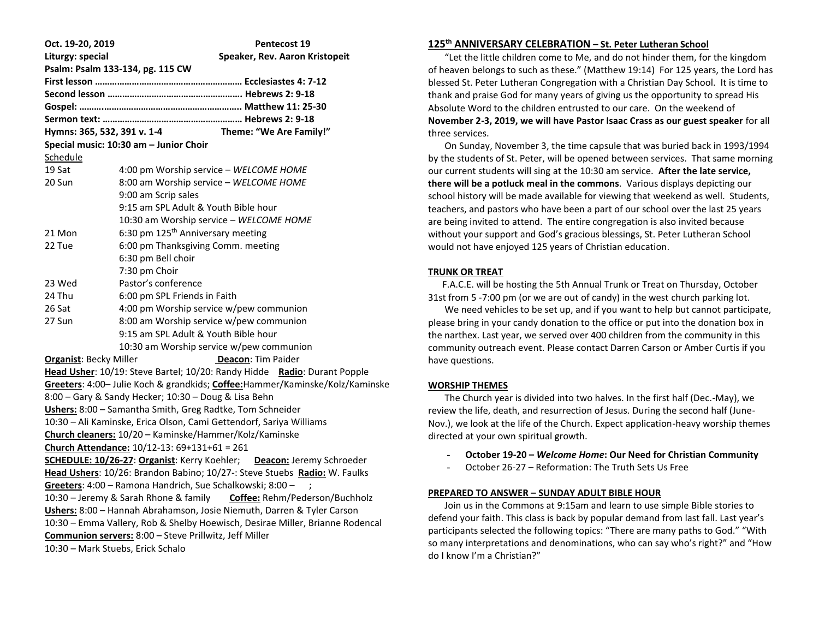| Oct. 19-20, 2019                                                             | Pentecost 19                                                                  |
|------------------------------------------------------------------------------|-------------------------------------------------------------------------------|
| Liturgy: special                                                             | Speaker, Rev. Aaron Kristopeit                                                |
| Psalm: Psalm 133-134, pg. 115 CW                                             |                                                                               |
|                                                                              |                                                                               |
|                                                                              |                                                                               |
|                                                                              |                                                                               |
|                                                                              |                                                                               |
| Hymns: 365, 532, 391 v. 1-4                                                  | Theme: "We Are Family!"                                                       |
| Special music: 10:30 am - Junior Choir                                       |                                                                               |
| Schedule                                                                     |                                                                               |
| 19 Sat                                                                       | 4:00 pm Worship service - WELCOME HOME                                        |
| 20 Sun                                                                       | 8:00 am Worship service - WELCOME HOME                                        |
|                                                                              | 9:00 am Scrip sales                                                           |
|                                                                              | 9:15 am SPL Adult & Youth Bible hour                                          |
|                                                                              | 10:30 am Worship service - WELCOME HOME                                       |
| 21 Mon                                                                       | 6:30 pm 125 <sup>th</sup> Anniversary meeting                                 |
| 22 Tue                                                                       | 6:00 pm Thanksgiving Comm. meeting                                            |
|                                                                              | 6:30 pm Bell choir                                                            |
|                                                                              | 7:30 pm Choir                                                                 |
| 23 Wed                                                                       | Pastor's conference                                                           |
| 24 Thu                                                                       | 6:00 pm SPL Friends in Faith                                                  |
| 26 Sat                                                                       | 4:00 pm Worship service w/pew communion                                       |
| 27 Sun                                                                       | 8:00 am Worship service w/pew communion                                       |
|                                                                              | 9:15 am SPL Adult & Youth Bible hour                                          |
|                                                                              | 10:30 am Worship service w/pew communion                                      |
| <b>Organist: Becky Miller</b>                                                | Deacon: Tim Paider                                                            |
|                                                                              | Head Usher: 10/19: Steve Bartel; 10/20: Randy Hidde Radio: Durant Popple      |
| Greeters: 4:00- Julie Koch & grandkids; Coffee:Hammer/Kaminske/Kolz/Kaminske |                                                                               |
| 8:00 - Gary & Sandy Hecker; 10:30 - Doug & Lisa Behn                         |                                                                               |
| Ushers: 8:00 - Samantha Smith, Greg Radtke, Tom Schneider                    |                                                                               |
| 10:30 - Ali Kaminske, Erica Olson, Cami Gettendorf, Sariya Williams          |                                                                               |
| Church cleaners: 10/20 - Kaminske/Hammer/Kolz/Kaminske                       |                                                                               |
| Church Attendance: 10/12-13: 69+131+61 = 261                                 |                                                                               |
| SCHEDULE: 10/26-27: Organist: Kerry Koehler; Deacon: Jeremy Schroeder        |                                                                               |
| Head Ushers: 10/26: Brandon Babino; 10/27 -: Steve Stuebs Radio: W. Faulks   |                                                                               |
| Greeters: 4:00 - Ramona Handrich, Sue Schalkowski; 8:00 -                    |                                                                               |
| 10:30 - Jeremy & Sarah Rhone & family<br>Coffee: Rehm/Pederson/Buchholz      |                                                                               |
| Ushers: 8:00 - Hannah Abrahamson, Josie Niemuth, Darren & Tyler Carson       |                                                                               |
|                                                                              | 10:30 - Emma Vallery, Rob & Shelby Hoewisch, Desirae Miller, Brianne Rodencal |
| Communion servers: 8:00 - Steve Prillwitz, Jeff Miller                       |                                                                               |
| 10:30 - Mark Stuebs, Erick Schalo                                            |                                                                               |

# **125th ANNIVERSARY CELEBRATION – St. Peter Lutheran School**

 "Let the little children come to Me, and do not hinder them, for the kingdom of heaven belongs to such as these." (Matthew 19:14) For 125 years, the Lord has blessed St. Peter Lutheran Congregation with a Christian Day School. It is time to thank and praise God for many years of giving us the opportunity to spread His Absolute Word to the children entrusted to our care. On the weekend of **November 2-3, 2019, we will have Pastor Isaac Crass as our guest speaker** for all three services.

 On Sunday, November 3, the time capsule that was buried back in 1993/1994 by the students of St. Peter, will be opened between services. That same morning our current students will sing at the 10:30 am service. **After the late service, there will be a potluck meal in the commons**. Various displays depicting our school history will be made available for viewing that weekend as well. Students, teachers, and pastors who have been a part of our school over the last 25 years are being invited to attend. The entire congregation is also invited because without your support and God's gracious blessings, St. Peter Lutheran School would not have enjoyed 125 years of Christian education.

### **TRUNK OR TREAT**

 F.A.C.E. will be hosting the 5th Annual Trunk or Treat on Thursday, October 31st from 5 -7:00 pm (or we are out of candy) in the west church parking lot.

 We need vehicles to be set up, and if you want to help but cannot participate, please bring in your candy donation to the office or put into the donation box in the narthex. Last year, we served over 400 children from the community in this community outreach event. Please contact Darren Carson or Amber Curtis if you have questions.

### **WORSHIP THEMES**

 The Church year is divided into two halves. In the first half (Dec.-May), we review the life, death, and resurrection of Jesus. During the second half (June-Nov.), we look at the life of the Church. Expect application-heavy worship themes directed at your own spiritual growth.

- **October 19-20 –** *Welcome Home***: Our Need for Christian Community**
- October 26-27 Reformation: The Truth Sets Us Free

#### **PREPARED TO ANSWER – SUNDAY ADULT BIBLE HOUR**

 Join us in the Commons at 9:15am and learn to use simple Bible stories to defend your faith. This class is back by popular demand from last fall. Last year's participants selected the following topics: "There are many paths to God." "With so many interpretations and denominations, who can say who's right?" and "How do I know I'm a Christian?"